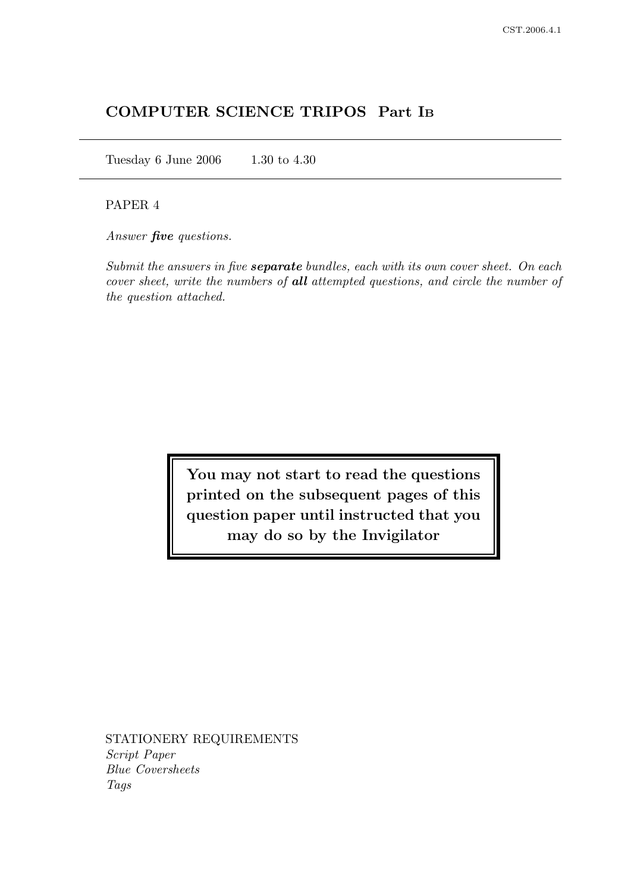# COMPUTER SCIENCE TRIPOS Part I<sup>B</sup>

Tuesday 6 June 2006 1.30 to 4.30

# PAPER 4

Answer **five** questions.

Submit the answers in five **separate** bundles, each with its own cover sheet. On each cover sheet, write the numbers of all attempted questions, and circle the number of the question attached.

> You may not start to read the questions printed on the subsequent pages of this question paper until instructed that you may do so by the Invigilator

STATIONERY REQUIREMENTS Script Paper Blue Coversheets Tags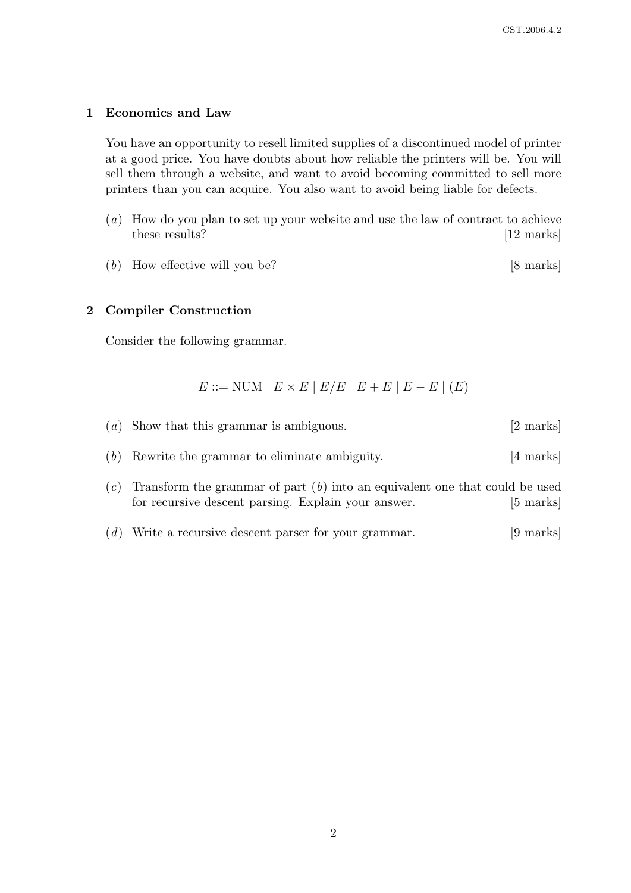### 1 Economics and Law

You have an opportunity to resell limited supplies of a discontinued model of printer at a good price. You have doubts about how reliable the printers will be. You will sell them through a website, and want to avoid becoming committed to sell more printers than you can acquire. You also want to avoid being liable for defects.

- (a) How do you plan to set up your website and use the law of contract to achieve these results? [12 marks]
- $(b)$  How effective will you be? [8 marks]

### 2 Compiler Construction

Consider the following grammar.

$$
E ::= \text{NUM} \mid E \times E \mid E/E \mid E + E \mid E - E \mid (E)
$$

| $(a)$ Show that this grammar is ambiguous.                                                                                                 | $[2 \text{ marks}]$ |
|--------------------------------------------------------------------------------------------------------------------------------------------|---------------------|
| $(b)$ Rewrite the grammar to eliminate ambiguity.                                                                                          | [4 marks]           |
| $(c)$ Transform the grammar of part $(b)$ into an equivalent one that could be used<br>for recursive descent parsing. Explain your answer. | $[5 \text{ marks}]$ |

(d) Write a recursive descent parser for your grammar. [9 marks]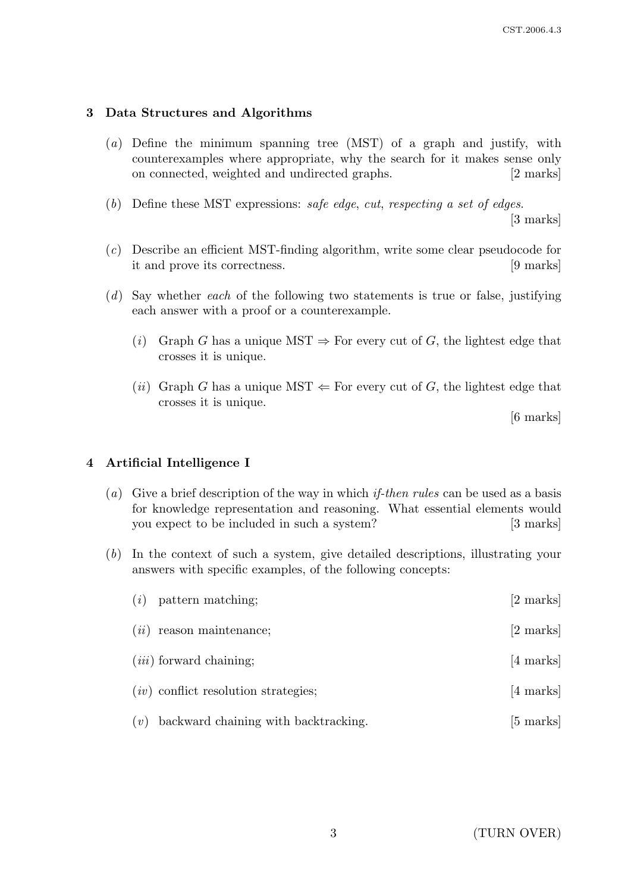# 3 Data Structures and Algorithms

- (a) Define the minimum spanning tree (MST) of a graph and justify, with counterexamples where appropriate, why the search for it makes sense only on connected, weighted and undirected graphs. [2 marks]
- (b) Define these MST expressions: safe edge, cut, respecting a set of edges.

[3 marks]

- (c) Describe an efficient MST-finding algorithm, write some clear pseudocode for it and prove its correctness. [9 marks]
- $(d)$  Say whether each of the following two statements is true or false, justifying each answer with a proof or a counterexample.
	- (i) Graph G has a unique MST  $\Rightarrow$  For every cut of G, the lightest edge that crosses it is unique.
	- (*ii*) Graph G has a unique MST  $\Leftarrow$  For every cut of G, the lightest edge that crosses it is unique.

[6 marks]

# 4 Artificial Intelligence I

- (a) Give a brief description of the way in which *if-then rules* can be used as a basis for knowledge representation and reasoning. What essential elements would you expect to be included in such a system? [3 marks]
- (b) In the context of such a system, give detailed descriptions, illustrating your answers with specific examples, of the following concepts:

| (i) | pattern matching;                      | [2 marks]           |
|-----|----------------------------------------|---------------------|
|     | $(ii)$ reason maintenance;             | [2 marks]           |
|     | $(iii)$ forward chaining;              | $[4 \text{ marks}]$ |
|     | $(iv)$ conflict resolution strategies; | $[4 \text{ marks}]$ |
| (v) | backward chaining with backtracking.   | [5 marks]           |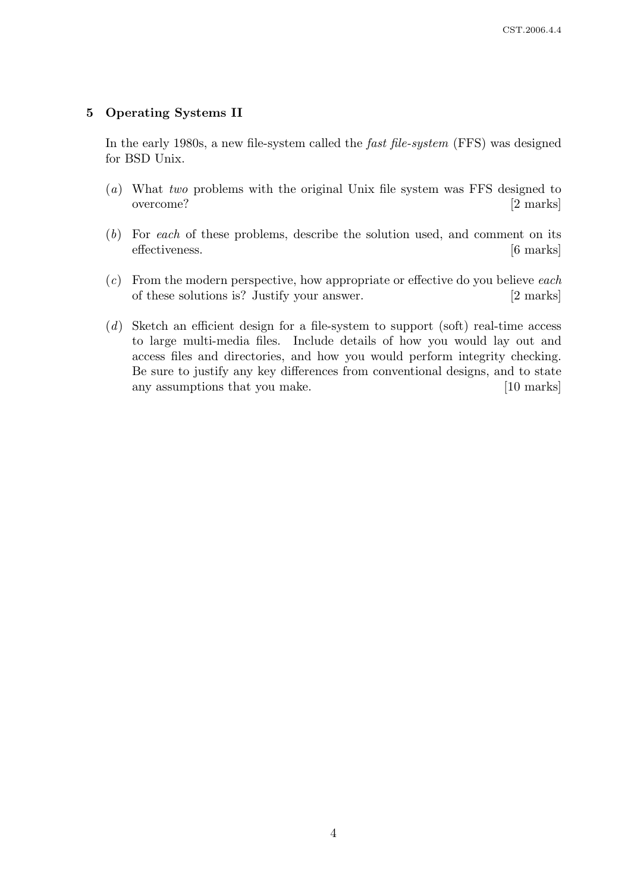### 5 Operating Systems II

In the early 1980s, a new file-system called the fast file-system (FFS) was designed for BSD Unix.

- (a) What two problems with the original Unix file system was FFS designed to overcome? [2 marks]
- (b) For each of these problems, describe the solution used, and comment on its effectiveness. [6 marks]
- $(c)$  From the modern perspective, how appropriate or effective do you believe each of these solutions is? Justify your answer. [2 marks]
- (d) Sketch an efficient design for a file-system to support (soft) real-time access to large multi-media files. Include details of how you would lay out and access files and directories, and how you would perform integrity checking. Be sure to justify any key differences from conventional designs, and to state any assumptions that you make. [10 marks]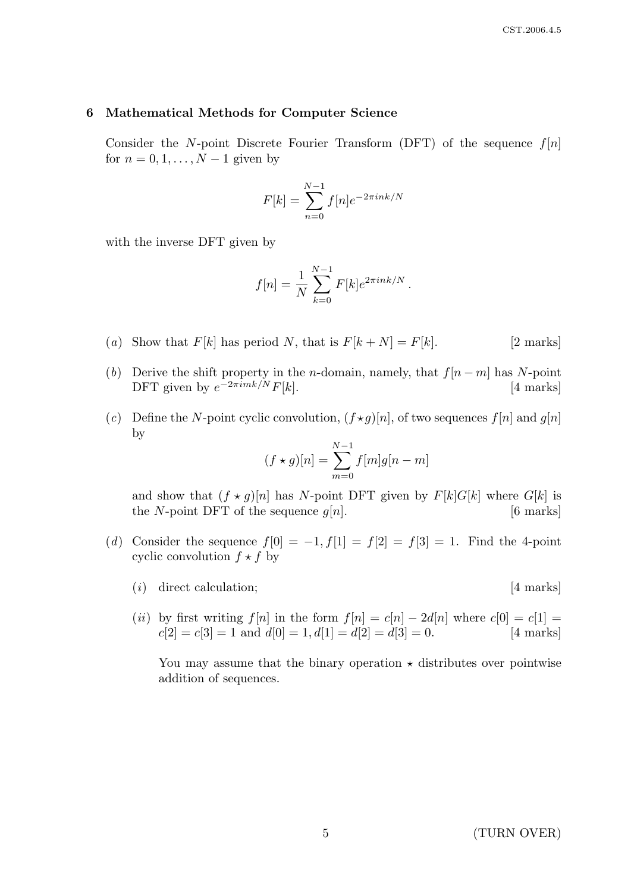#### 6 Mathematical Methods for Computer Science

Consider the N-point Discrete Fourier Transform (DFT) of the sequence  $f[n]$ for  $n = 0, 1, \ldots, N-1$  given by

$$
F[k] = \sum_{n=0}^{N-1} f[n]e^{-2\pi i n k/N}
$$

with the inverse DFT given by

$$
f[n] = \frac{1}{N} \sum_{k=0}^{N-1} F[k] e^{2\pi i n k/N}.
$$

- (a) Show that  $F[k]$  has period N, that is  $F[k+N] = F[k]$ . [2 marks]
- (b) Derive the shift property in the n-domain, namely, that  $f[n-m]$  has N-point DFT given by  $e^{-2\pi i mk/N} F[k]$ . [4 marks]
- (c) Define the N-point cyclic convolution,  $(f \star g)[n]$ , of two sequences  $f[n]$  and  $g[n]$ by

$$
(f \star g)[n] = \sum_{m=0}^{N-1} f[m]g[n-m]
$$

and show that  $(f \star g)[n]$  has N-point DFT given by  $F[k]G[k]$  where  $G[k]$  is the N-point DFT of the sequence  $g[n]$ . [6 marks]

- (d) Consider the sequence  $f[0] = -1, f[1] = f[2] = f[3] = 1$ . Find the 4-point cyclic convolution  $f \star f$  by
	- $(i)$  direct calculation; [4 marks]

(ii) by first writing  $f[n]$  in the form  $f[n] = c[n] - 2d[n]$  where  $c[0] = c[1] =$  $c[2] = c[3] = 1$  and  $d[0] = 1, d[1] = d[2] = d[3] = 0.$  [4 marks]

You may assume that the binary operation  $\star$  distributes over pointwise addition of sequences.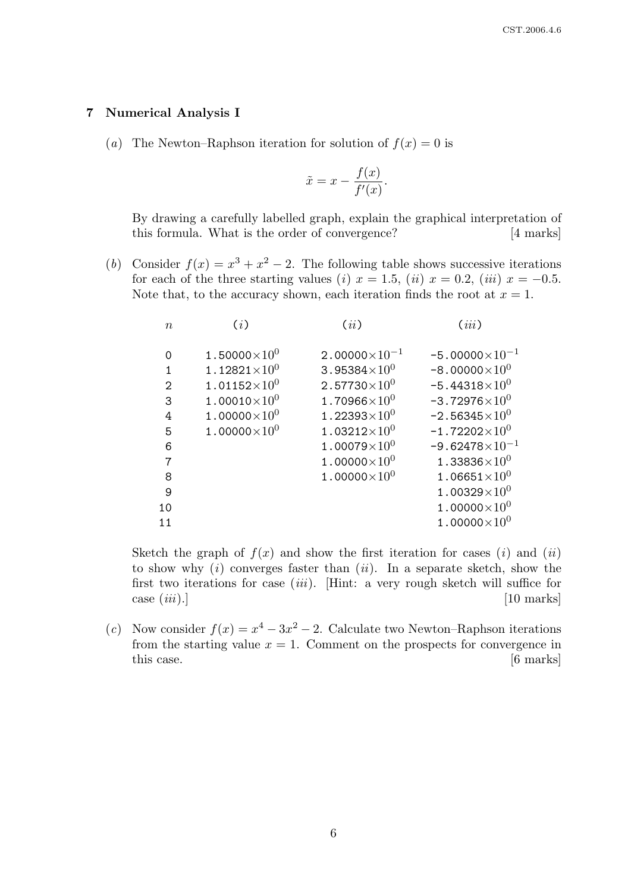### 7 Numerical Analysis I

(a) The Newton–Raphson iteration for solution of  $f(x) = 0$  is

$$
\tilde{x} = x - \frac{f(x)}{f'(x)}.
$$

By drawing a carefully labelled graph, explain the graphical interpretation of this formula. What is the order of convergence? [4 marks]

(b) Consider  $f(x) = x^3 + x^2 - 2$ . The following table shows successive iterations for each of the three starting values (i)  $x = 1.5$ , (ii)  $x = 0.2$ , (iii)  $x = -0.5$ . Note that, to the accuracy shown, each iteration finds the root at  $x = 1$ .

| $\boldsymbol{n}$ | (i)                    | (ii)                             | (iii)                   |
|------------------|------------------------|----------------------------------|-------------------------|
| $\Omega$         | 1.50000 $\times10^{0}$ | $2.00000\times10^{-1}$           | $-5.00000\times10^{-1}$ |
| 1                | $1.12821\times10^{0}$  | 3.95384 $\times10^{0}$           | $-8.00000\times10^{0}$  |
| 2                | $1.01152\times10^{0}$  | $2.57730\times10^{0}$            | $-5.44318\times10^{0}$  |
| 3                | $1.00010\times10^{0}$  | 1.70966 $\times 10^{0}$          | $-3.72976\times10^{0}$  |
| 4                | 1.00000 $\times10^{0}$ | 1.22393 $\times$ 10 <sup>0</sup> | $-2.56345\times10^{0}$  |
| 5                | $1.00000\times10^{0}$  | $1.03212\times10^{0}$            | $-1.72202\times10^{0}$  |
| 6                |                        | $1.00079\times10^{0}$            | $-9.62478\times10^{-1}$ |
| 7                |                        | 1.00000 $\times10^{0}$           | $1.33836\times10^{0}$   |
| 8                |                        | $1.00000\times10^{0}$            | $1.06651{\times}10^{0}$ |
| 9                |                        |                                  | $1.00329\times10^{0}$   |
| 10               |                        |                                  | 1.00000 $\times10^{0}$  |
| 11               |                        |                                  | $1.00000\times10^{0}$   |
|                  |                        |                                  |                         |

Sketch the graph of  $f(x)$  and show the first iteration for cases (i) and (ii) to show why  $(i)$  converges faster than  $(ii)$ . In a separate sketch, show the first two iterations for case  $(iii)$ . [Hint: a very rough sketch will suffice for  $\cos(\,iii).]$  [10 marks]

(c) Now consider  $f(x) = x^4 - 3x^2 - 2$ . Calculate two Newton–Raphson iterations from the starting value  $x = 1$ . Comment on the prospects for convergence in this case. [6 marks]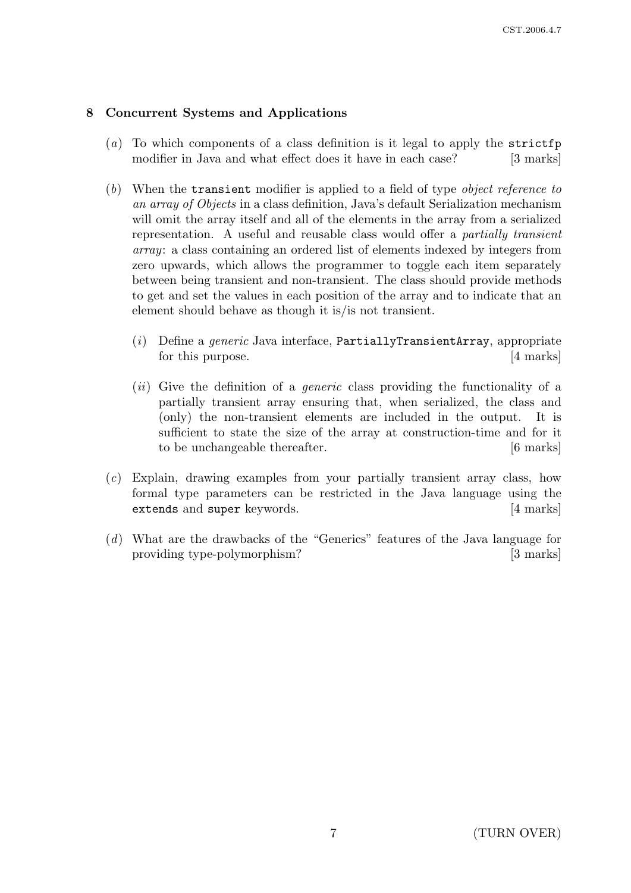# 8 Concurrent Systems and Applications

- (a) To which components of a class definition is it legal to apply the strictfp modifier in Java and what effect does it have in each case? [3 marks]
- (b) When the transient modifier is applied to a field of type object reference to an array of Objects in a class definition, Java's default Serialization mechanism will omit the array itself and all of the elements in the array from a serialized representation. A useful and reusable class would offer a partially transient array: a class containing an ordered list of elements indexed by integers from zero upwards, which allows the programmer to toggle each item separately between being transient and non-transient. The class should provide methods to get and set the values in each position of the array and to indicate that an element should behave as though it is/is not transient.
	- (i) Define a *generic* Java interface, PartiallyTransientArray, appropriate for this purpose. [4 marks]
	- $(ii)$  Give the definition of a *generic* class providing the functionality of a partially transient array ensuring that, when serialized, the class and (only) the non-transient elements are included in the output. It is sufficient to state the size of the array at construction-time and for it to be unchangeable thereafter. [6 marks]
- (c) Explain, drawing examples from your partially transient array class, how formal type parameters can be restricted in the Java language using the extends and super keywords. [4 marks]
- (d) What are the drawbacks of the "Generics" features of the Java language for providing type-polymorphism? [3 marks]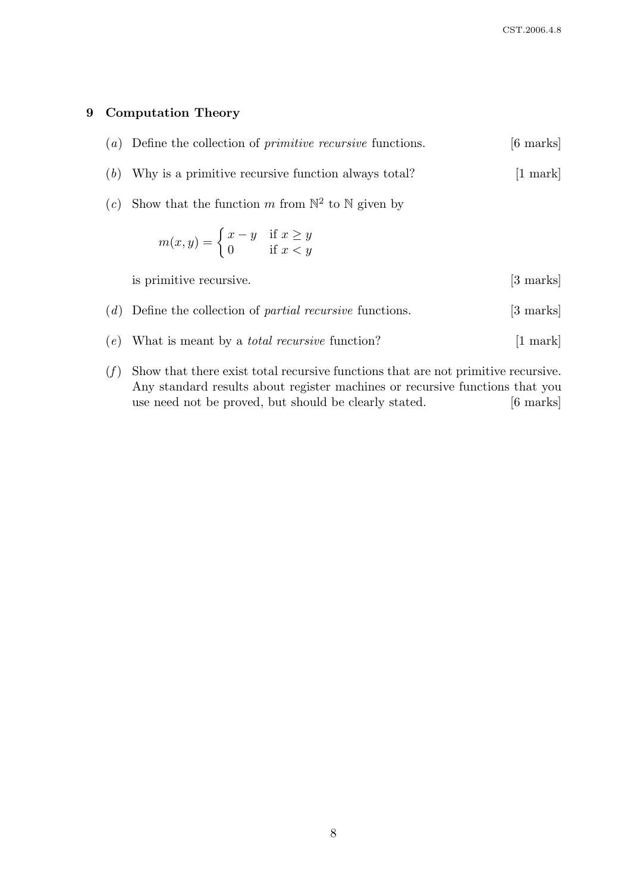## 9 Computation Theory

|  | $(a)$ Define the collection of <i>primitive recursive</i> functions. |  |  | [6 marks] |
|--|----------------------------------------------------------------------|--|--|-----------|
|--|----------------------------------------------------------------------|--|--|-----------|

- (b) Why is a primitive recursive function always total? [1 mark]
- (c) Show that the function m from  $\mathbb{N}^2$  to  $\mathbb N$  given by

$$
m(x, y) = \begin{cases} x - y & \text{if } x \ge y \\ 0 & \text{if } x < y \end{cases}
$$
\nis primitive recursive.\n
$$
(d) \text{ Define the collection of partial recursive functions. } [3 \text{ marks}]
$$
\n
$$
(e) \text{ What is meant by a total recursive function? } [1 \text{ mark}]
$$

 $(f)$  Show that there exist total recursive functions that are not primitive recursive. Any standard results about register machines or recursive functions that you use need not be proved, but should be clearly stated. [6 marks]